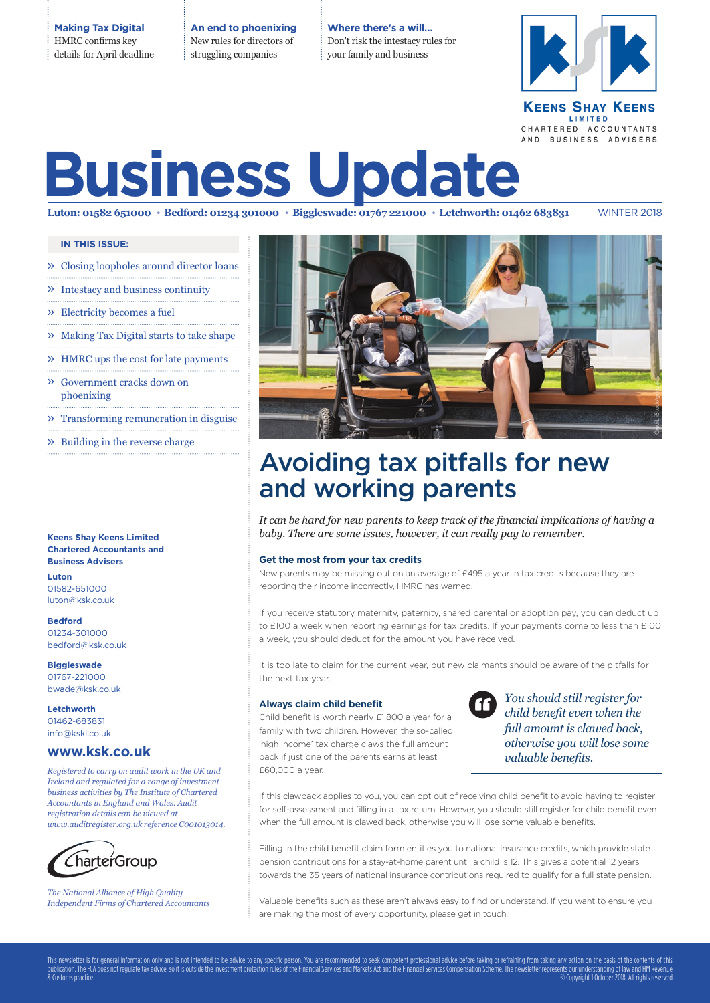**Making Tax Digital** HMRC confirms key details for April deadline **An end to phoenixing** New rules for directors of struggling companies

**Where there's a will…** Don't risk the intestacy rules for your family and business



## **KEENS SHAY KEENS** LIMITED CHARTERED ACCOUNTANTS AND BUSINESS ADVISERS

# **Business Update**

Luton: 01582 651000 · Bedford: 01234 301000 · Biggleswade: 01767 221000 · Letchworth: 01462 683831 WINTER 2018

**IN THIS ISSUE:**

- » Closing loopholes around director loans
- » Intestacy and business continuity
- » Electricity becomes a fuel
- » Making Tax Digital starts to take shape
- » HMRC ups the cost for late payments
- » Government cracks down on phoenixing
- » Transforming remuneration in disguise
- » Building in the reverse charge

**Keens Shay Keens Limited Chartered Accountants and Business Advisers**

**Luton** 01582-651000 luton@ksk.co.uk

**Bedford** 01234-301000 bedford@ksk.co.uk

**Biggleswade** 01767-221000 bwade@ksk.co.uk

**Letchworth** 01462-683831 info@kskl.co.uk

## **www.ksk.co.uk**

*Registered to carry on audit work in the UK and Ireland and regulated for a range of investment business activities by The Institute of Chartered Accountants in England and Wales. Audit registration details can be viewed at www.auditregister.org.uk reference C001013014.*



*The National Alliance of High Quality Independent Firms of Chartered Accountants*



## Avoiding tax pitfalls for new and working parents

*It can be hard for new parents to keep track of the financial implications of having a baby. There are some issues, however, it can really pay to remember.* 

### **Get the most from your tax credits**

New parents may be missing out on an average of £495 a year in tax credits because they are reporting their income incorrectly, HMRC has warned.

If you receive statutory maternity, paternity, shared parental or adoption pay, you can deduct up to £100 a week when reporting earnings for tax credits. If your payments come to less than £100 a week, you should deduct for the amount you have received.

It is too late to claim for the current year, but new claimants should be aware of the pitfalls for the next tax year.

## **Always claim child benefit**

Child benefit is worth nearly £1,800 a year for a family with two children. However, the so-called 'high income' tax charge claws the full amount back if just one of the parents earns at least £60,000 a year.



*You should still register for child benefit even when the full amount is clawed back, otherwise you will lose some valuable benefits.*

If this clawback applies to you, you can opt out of receiving child benefit to avoid having to register for self-assessment and filling in a tax return. However, you should still register for child benefit even when the full amount is clawed back, otherwise you will lose some valuable benefits.

Filling in the child benefit claim form entitles you to national insurance credits, which provide state pension contributions for a stay-at-home parent until a child is 12. This gives a potential 12 years towards the 35 years of national insurance contributions required to qualify for a full state pension.

Valuable benefits such as these aren't always easy to find or understand. If you want to ensure you are making the most of every opportunity, please get in touch.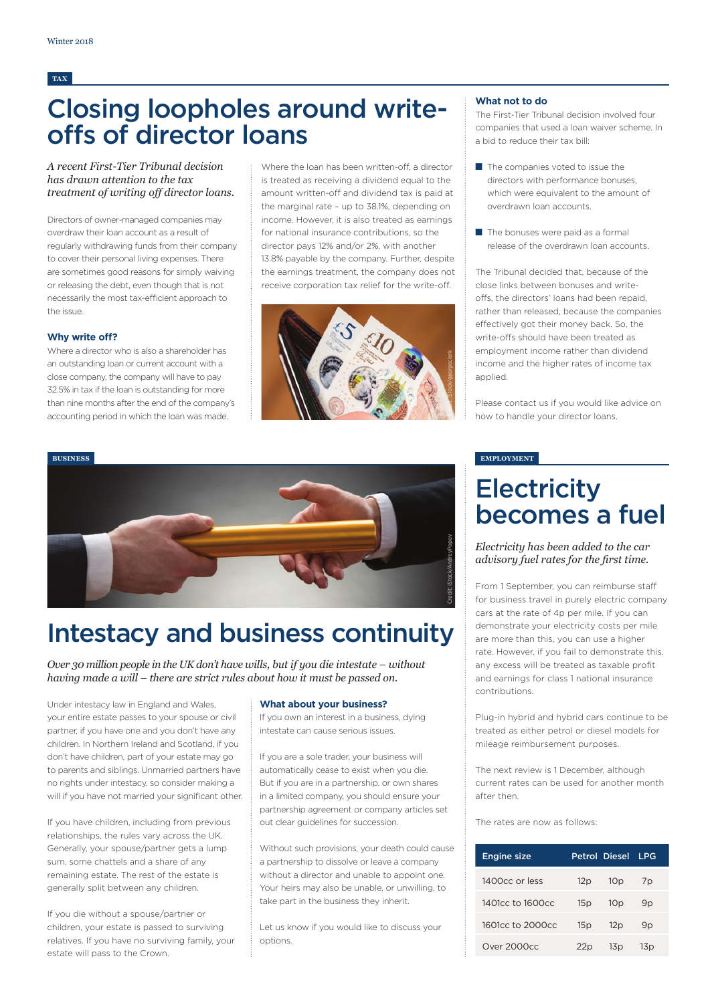## **TAX**

## Closing loopholes around writeoffs of director loans

## *A recent First-Tier Tribunal decision has drawn attention to the tax treatment of writing off director loans.*

Directors of owner-managed companies may overdraw their loan account as a result of regularly withdrawing funds from their company to cover their personal living expenses. There are sometimes good reasons for simply waiving or releasing the debt, even though that is not necessarily the most tax-efficient approach to the issue.

### **Why write off?**

Where a director who is also a shareholder has an outstanding loan or current account with a close company, the company will have to pay 32.5% in tax if the loan is outstanding for more than nine months after the end of the company's accounting period in which the loan was made.

Where the loan has been written-off, a director is treated as receiving a dividend equal to the amount written-off and dividend tax is paid at the marginal rate – up to 38.1%, depending on income. However, it is also treated as earnings for national insurance contributions, so the director pays 12% and/or 2%, with another 13.8% payable by the company. Further, despite the earnings treatment, the company does not receive corporation tax relief for the write-off.



## **What not to do**

The First-Tier Tribunal decision involved four companies that used a loan waiver scheme. In a bid to reduce their tax bill:

- The companies voted to issue the directors with performance bonuses, which were equivalent to the amount of overdrawn loan accounts.
- The bonuses were paid as a formal release of the overdrawn loan accounts.

The Tribunal decided that, because of the close links between bonuses and writeoffs, the directors' loans had been repaid, rather than released, because the companies effectively got their money back. So, the write-offs should have been treated as employment income rather than dividend income and the higher rates of income tax applied.

Please contact us if you would like advice on how to handle your director loans.

### **EMPLOYMENT**

## **Electricity** becomes a fuel

*Electricity has been added to the car advisory fuel rates for the first time.* 

From 1 September, you can reimburse staff for business travel in purely electric company cars at the rate of 4p per mile. If you can demonstrate your electricity costs per mile are more than this, you can use a higher rate. However, if you fail to demonstrate this, any excess will be treated as taxable profit and earnings for class 1 national insurance contributions.

Plug-in hybrid and hybrid cars continue to be treated as either petrol or diesel models for mileage reimbursement purposes.

The next review is 1 December, although current rates can be used for another month after then.

The rates are now as follows:

| <b>Engine size</b> |     | Petrol Diesel   | LPG             |  |
|--------------------|-----|-----------------|-----------------|--|
| 1400cc or less     | 12p | 10 <sub>p</sub> | 7p              |  |
| 1401cc to 1600cc   | 15p | 10 <sub>p</sub> | 9p              |  |
| 1601cc to 2000cc   | 15p | 12p             | 9p              |  |
| Over 2000cc        | 22p | 13 p            | 13 <sub>p</sub> |  |



## Intestacy and business continuity

*Over 30 million people in the UK don't have wills, but if you die intestate – without having made a will – there are strict rules about how it must be passed on.* 

Under intestacy law in England and Wales, your entire estate passes to your spouse or civil partner, if you have one and you don't have any children. In Northern Ireland and Scotland, if you don't have children, part of your estate may go to parents and siblings. Unmarried partners have no rights under intestacy, so consider making a will if you have not married your significant other.

If you have children, including from previous relationships, the rules vary across the UK. Generally, your spouse/partner gets a lump sum, some chattels and a share of any remaining estate. The rest of the estate is generally split between any children.

If you die without a spouse/partner or children, your estate is passed to surviving relatives. If you have no surviving family, your estate will pass to the Crown.

### **What about your business?**

If you own an interest in a business, dying intestate can cause serious issues.

If you are a sole trader, your business will automatically cease to exist when you die. But if you are in a partnership, or own shares in a limited company, you should ensure your partnership agreement or company articles set out clear guidelines for succession.

Without such provisions, your death could cause a partnership to dissolve or leave a company without a director and unable to appoint one. Your heirs may also be unable, or unwilling, to take part in the business they inherit.

Let us know if you would like to discuss your options.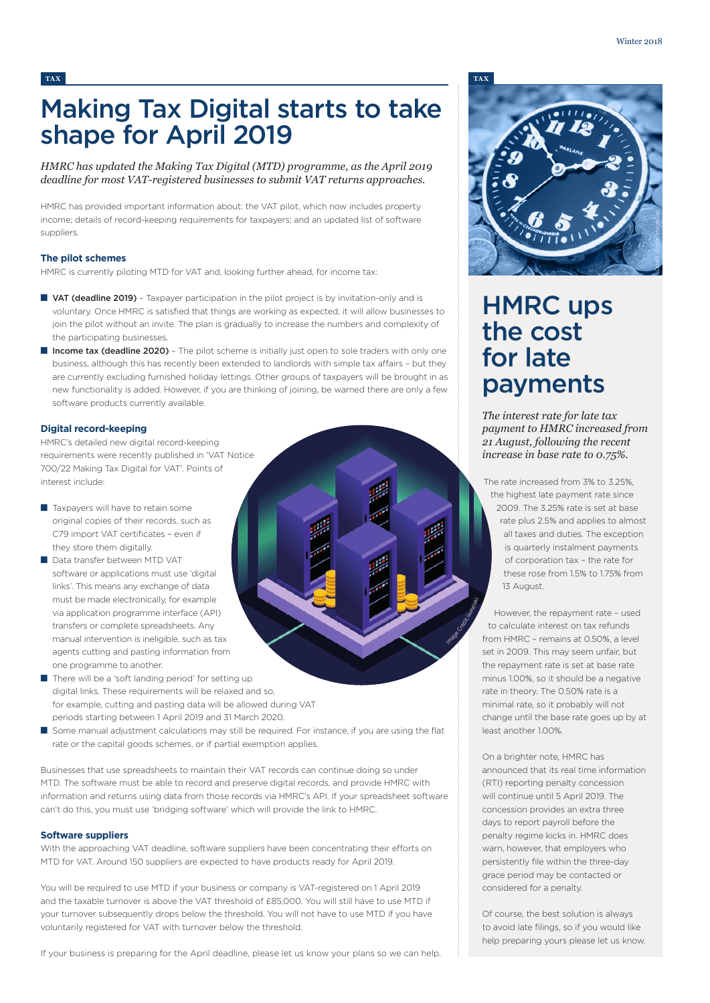## Making Tax Digital starts to take shape for April 2019

*HMRC has updated the Making Tax Digital (MTD) programme, as the April 2019 deadline for most VAT-registered businesses to submit VAT returns approaches.* 

HMRC has provided important information about: the VAT pilot, which now includes property income; details of record-keeping requirements for taxpayers; and an updated list of software suppliers.

## **The pilot schemes**

HMRC is currently piloting MTD for VAT and, looking further ahead, for income tax:

- VAT (deadline 2019) Taxpayer participation in the pilot project is by invitation-only and is voluntary. Once HMRC is satisfied that things are working as expected, it will allow businesses to join the pilot without an invite. The plan is gradually to increase the numbers and complexity of the participating businesses.
- Income tax (deadline 2020) The pilot scheme is initially just open to sole traders with only one business, although this has recently been extended to landlords with simple tax affairs – but they are currently excluding furnished holiday lettings. Other groups of taxpayers will be brought in as new functionality is added. However, if you are thinking of joining, be warned there are only a few software products currently available.

## **Digital record-keeping**

HMRC's detailed new digital record-keeping requirements were recently published in 'VAT Notice 700/22 Making Tax Digital for VAT'. Points of interest include:

- Taxpayers will have to retain some original copies of their records, such as C79 import VAT certificates – even if they store them digitally.
- Data transfer between MTD VAT software or applications must use 'digital links'. This means any exchange of data must be made electronically, for example via application programme interface (API) transfers or complete spreadsheets. Any manual intervention is ineligible, such as tax agents cutting and pasting information from one programme to another.
- There will be a 'soft landing period' for setting up digital links. These requirements will be relaxed and so, for example, cutting and pasting data will be allowed during VAT periods starting between 1 April 2019 and 31 March 2020.
- Some manual adjustment calculations may still be required. For instance, if you are using the flat rate or the capital goods schemes, or if partial exemption applies.

Businesses that use spreadsheets to maintain their VAT records can continue doing so under MTD. The software must be able to record and preserve digital records, and provide HMRC with information and returns using data from those records via HMRC's API. If your spreadsheet software can't do this, you must use 'bridging software' which will provide the link to HMRC.

### **Software suppliers**

With the approaching VAT deadline, software suppliers have been concentrating their efforts on MTD for VAT. Around 150 suppliers are expected to have products ready for April 2019.

You will be required to use MTD if your business or company is VAT-registered on 1 April 2019 and the taxable turnover is above the VAT threshold of £85,000. You will still have to use MTD if your turnover subsequently drops below the threshold. You will not have to use MTD if you have voluntarily registered for VAT with turnover below the threshold.

If your business is preparing for the April deadline, please let us know your plans so we can help.



## HMRC ups the cost for late payments

*The interest rate for late tax payment to HMRC increased from 21 August, following the recent increase in base rate to 0.75%.* 

The rate increased from 3% to 3.25%, the highest late payment rate since 2009. The 3.25% rate is set at base rate plus 2.5% and applies to almost all taxes and duties. The exception is quarterly instalment payments of corporation tax – the rate for these rose from 1.5% to 1.75% from 13 August.

However, the repayment rate – used to calculate interest on tax refunds from HMRC – remains at 0.50%, a level set in 2009. This may seem unfair, but the repayment rate is set at base rate minus 1.00%, so it should be a negative rate in theory. The 0.50% rate is a minimal rate, so it probably will not change until the base rate goes up by at least another 1.00%.

Tage Credit Burielaki

On a brighter note, HMRC has announced that its real time information (RTI) reporting penalty concession will continue until 5 April 2019. The concession provides an extra three days to report payroll before the penalty regime kicks in. HMRC does warn, however, that employers who persistently file within the three-day grace period may be contacted or considered for a penalty.

Of course, the best solution is always to avoid late filings, so if you would like help preparing yours please let us know.